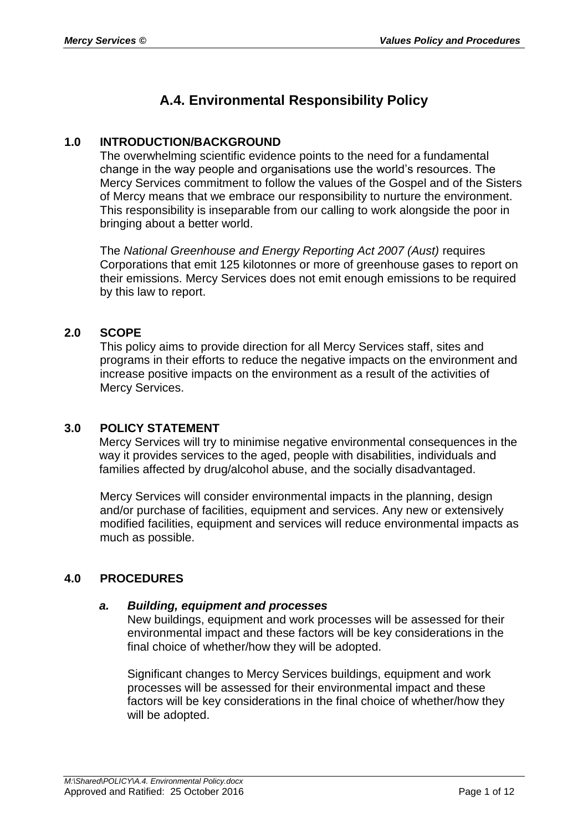# **A.4. Environmental Responsibility Policy**

# **1.0 INTRODUCTION/BACKGROUND**

The overwhelming scientific evidence points to the need for a fundamental change in the way people and organisations use the world's resources. The Mercy Services commitment to follow the values of the Gospel and of the Sisters of Mercy means that we embrace our responsibility to nurture the environment. This responsibility is inseparable from our calling to work alongside the poor in bringing about a better world.

The *National Greenhouse and Energy Reporting Act 2007 (Aust)* requires Corporations that emit 125 kilotonnes or more of greenhouse gases to report on their emissions. Mercy Services does not emit enough emissions to be required by this law to report.

# **2.0 SCOPE**

This policy aims to provide direction for all Mercy Services staff, sites and programs in their efforts to reduce the negative impacts on the environment and increase positive impacts on the environment as a result of the activities of Mercy Services.

## **3.0 POLICY STATEMENT**

Mercy Services will try to minimise negative environmental consequences in the way it provides services to the aged, people with disabilities, individuals and families affected by drug/alcohol abuse, and the socially disadvantaged.

Mercy Services will consider environmental impacts in the planning, design and/or purchase of facilities, equipment and services. Any new or extensively modified facilities, equipment and services will reduce environmental impacts as much as possible.

# **4.0 PROCEDURES**

## *a. Building, equipment and processes*

New buildings, equipment and work processes will be assessed for their environmental impact and these factors will be key considerations in the final choice of whether/how they will be adopted.

Significant changes to Mercy Services buildings, equipment and work processes will be assessed for their environmental impact and these factors will be key considerations in the final choice of whether/how they will be adopted.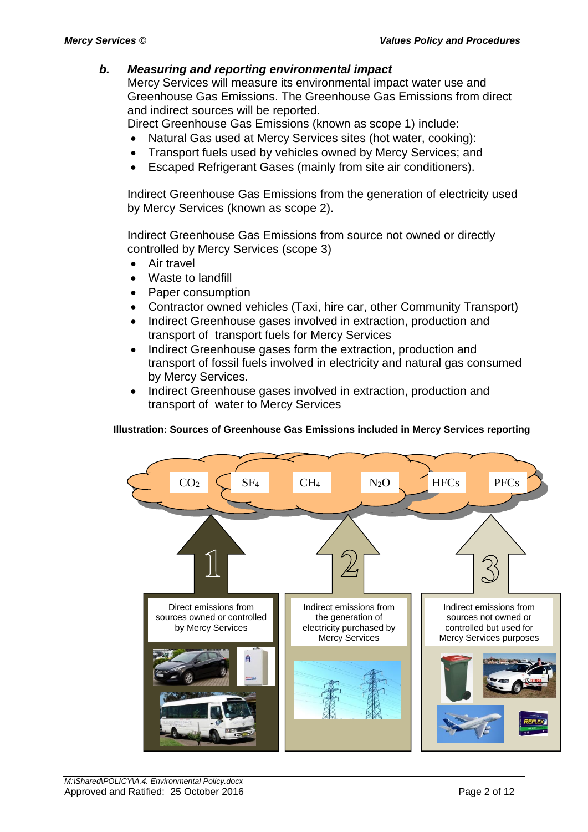### *b. Measuring and reporting environmental impact*

Mercy Services will measure its environmental impact water use and Greenhouse Gas Emissions. The Greenhouse Gas Emissions from direct and indirect sources will be reported.

Direct Greenhouse Gas Emissions (known as scope 1) include:

- Natural Gas used at Mercy Services sites (hot water, cooking):
- Transport fuels used by vehicles owned by Mercy Services; and
- Escaped Refrigerant Gases (mainly from site air conditioners).

Indirect Greenhouse Gas Emissions from the generation of electricity used by Mercy Services (known as scope 2).

Indirect Greenhouse Gas Emissions from source not owned or directly controlled by Mercy Services (scope 3)

- Air travel
- Waste to landfill
- Paper consumption
- Contractor owned vehicles (Taxi, hire car, other Community Transport)
- Indirect Greenhouse gases involved in extraction, production and transport of transport fuels for Mercy Services
- Indirect Greenhouse gases form the extraction, production and transport of fossil fuels involved in electricity and natural gas consumed by Mercy Services.
- Indirect Greenhouse gases involved in extraction, production and transport of water to Mercy Services

#### **Illustration: Sources of Greenhouse Gas Emissions included in Mercy Services reporting**

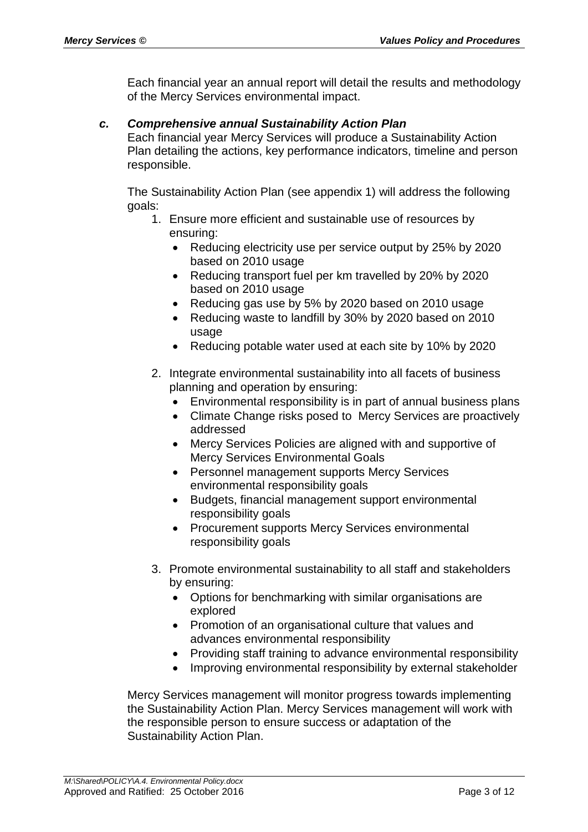Each financial year an annual report will detail the results and methodology of the Mercy Services environmental impact.

### *c. Comprehensive annual Sustainability Action Plan*

Each financial year Mercy Services will produce a Sustainability Action Plan detailing the actions, key performance indicators, timeline and person responsible.

The Sustainability Action Plan (see appendix 1) will address the following goals:

- 1. Ensure more efficient and sustainable use of resources by ensuring:
	- Reducing electricity use per service output by 25% by 2020 based on 2010 usage
	- Reducing transport fuel per km travelled by 20% by 2020 based on 2010 usage
	- Reducing gas use by 5% by 2020 based on 2010 usage
	- Reducing waste to landfill by 30% by 2020 based on 2010 usage
	- Reducing potable water used at each site by 10% by 2020
- 2. Integrate environmental sustainability into all facets of business planning and operation by ensuring:
	- Environmental responsibility is in part of annual business plans
	- Climate Change risks posed to Mercy Services are proactively addressed
	- Mercy Services Policies are aligned with and supportive of Mercy Services Environmental Goals
	- Personnel management supports Mercy Services environmental responsibility goals
	- Budgets, financial management support environmental responsibility goals
	- Procurement supports Mercy Services environmental responsibility goals
- 3. Promote environmental sustainability to all staff and stakeholders by ensuring:
	- Options for benchmarking with similar organisations are explored
	- Promotion of an organisational culture that values and advances environmental responsibility
	- Providing staff training to advance environmental responsibility
	- Improving environmental responsibility by external stakeholder

Mercy Services management will monitor progress towards implementing the Sustainability Action Plan. Mercy Services management will work with the responsible person to ensure success or adaptation of the Sustainability Action Plan.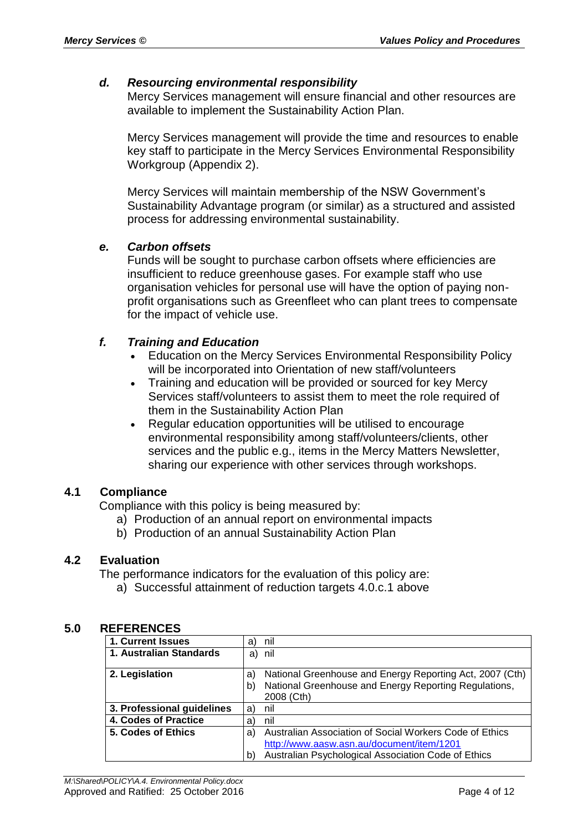## *d. Resourcing environmental responsibility*

Mercy Services management will ensure financial and other resources are available to implement the Sustainability Action Plan.

Mercy Services management will provide the time and resources to enable key staff to participate in the Mercy Services Environmental Responsibility Workgroup (Appendix 2).

Mercy Services will maintain membership of the NSW Government's Sustainability Advantage program (or similar) as a structured and assisted process for addressing environmental sustainability.

### *e. Carbon offsets*

Funds will be sought to purchase carbon offsets where efficiencies are insufficient to reduce greenhouse gases. For example staff who use organisation vehicles for personal use will have the option of paying nonprofit organisations such as Greenfleet who can plant trees to compensate for the impact of vehicle use.

## *f. Training and Education*

- Education on the Mercy Services Environmental Responsibility Policy will be incorporated into Orientation of new staff/volunteers
- Training and education will be provided or sourced for key Mercy Services staff/volunteers to assist them to meet the role required of them in the Sustainability Action Plan
- Regular education opportunities will be utilised to encourage environmental responsibility among staff/volunteers/clients, other services and the public e.g., items in the Mercy Matters Newsletter, sharing our experience with other services through workshops.

## **4.1 Compliance**

Compliance with this policy is being measured by:

- a) Production of an annual report on environmental impacts
- b) Production of an annual Sustainability Action Plan

# **4.2 Evaluation**

The performance indicators for the evaluation of this policy are:

a) Successful attainment of reduction targets 4.0.c.1 above

### **5.0 REFERENCES**

| 1. Current Issues          | nil<br>a)                                                                 |
|----------------------------|---------------------------------------------------------------------------|
| 1. Australian Standards    | nil<br>a)                                                                 |
| 2. Legislation             | National Greenhouse and Energy Reporting Act, 2007 (Cth)<br>a             |
|                            | National Greenhouse and Energy Reporting Regulations,<br>b)<br>2008 (Cth) |
| 3. Professional guidelines | nil<br>a                                                                  |
| 4. Codes of Practice       | nil<br>a                                                                  |
| 5. Codes of Ethics         | Australian Association of Social Workers Code of Ethics<br>a)             |
|                            | http://www.aasw.asn.au/document/item/1201                                 |
|                            | Australian Psychological Association Code of Ethics<br>b                  |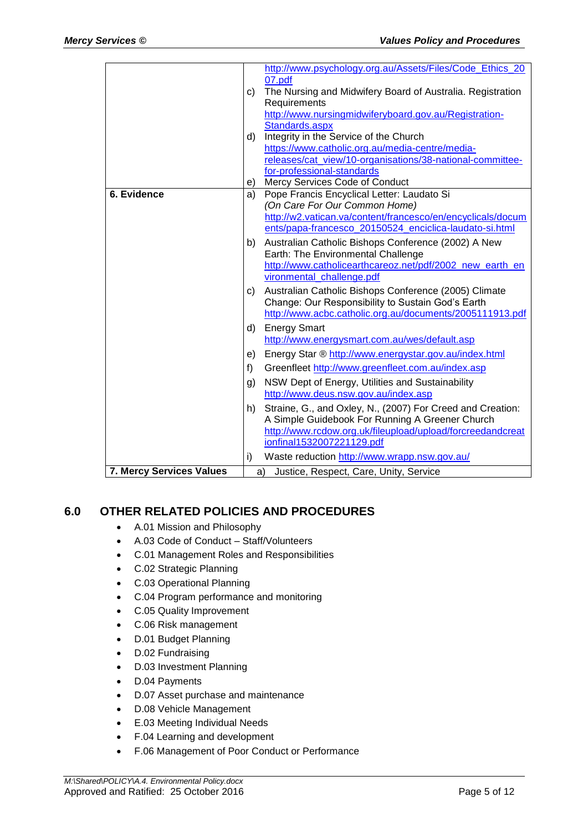|                                 |    | http://www.psychology.org.au/Assets/Files/Code Ethics 20<br>07.pdf |
|---------------------------------|----|--------------------------------------------------------------------|
|                                 | C) | The Nursing and Midwifery Board of Australia. Registration         |
|                                 |    | Requirements                                                       |
|                                 |    | http://www.nursingmidwiferyboard.gov.au/Registration-              |
|                                 |    | Standards.aspx                                                     |
|                                 | d) | Integrity in the Service of the Church                             |
|                                 |    | https://www.catholic.org.au/media-centre/media-                    |
|                                 |    | releases/cat_view/10-organisations/38-national-committee-          |
|                                 |    | for-professional-standards                                         |
|                                 | e) | Mercy Services Code of Conduct                                     |
| 6. Evidence                     | a) | Pope Francis Encyclical Letter: Laudato Si                         |
|                                 |    | (On Care For Our Common Home)                                      |
|                                 |    | http://w2.vatican.va/content/francesco/en/encyclicals/docum        |
|                                 |    | ents/papa-francesco 20150524 enciclica-laudato-si.html             |
|                                 | b) | Australian Catholic Bishops Conference (2002) A New                |
|                                 |    | Earth: The Environmental Challenge                                 |
|                                 |    | http://www.catholicearthcareoz.net/pdf/2002_new_earth_en           |
|                                 |    | vironmental_challenge.pdf                                          |
|                                 | C) | Australian Catholic Bishops Conference (2005) Climate              |
|                                 |    | Change: Our Responsibility to Sustain God's Earth                  |
|                                 |    | http://www.acbc.catholic.org.au/documents/2005111913.pdf           |
|                                 | d) | <b>Energy Smart</b>                                                |
|                                 |    | http://www.energysmart.com.au/wes/default.asp                      |
|                                 | e) | Energy Star ® http://www.energystar.gov.au/index.html              |
|                                 | f) | Greenfleet http://www.greenfleet.com.au/index.asp                  |
|                                 | g) | NSW Dept of Energy, Utilities and Sustainability                   |
|                                 |    | http://www.deus.nsw.gov.au/index.asp                               |
|                                 | h) | Straine, G., and Oxley, N., (2007) For Creed and Creation:         |
|                                 |    | A Simple Guidebook For Running A Greener Church                    |
|                                 |    | http://www.rcdow.org.uk/fileupload/upload/forcreedandcreat         |
|                                 |    | ionfinal1532007221129.pdf                                          |
|                                 | i) | Waste reduction http://www.wrapp.nsw.gov.au/                       |
| <b>7. Mercy Services Values</b> | a) | Justice, Respect, Care, Unity, Service                             |

# **6.0 OTHER RELATED POLICIES AND PROCEDURES**

- A.01 Mission and Philosophy
- A.03 Code of Conduct Staff/Volunteers
- C.01 Management Roles and Responsibilities
- C.02 Strategic Planning
- C.03 Operational Planning
- C.04 Program performance and monitoring
- C.05 Quality Improvement
- C.06 Risk management
- D.01 Budget Planning
- D.02 Fundraising
- D.03 Investment Planning
- D.04 Payments
- D.07 Asset purchase and maintenance
- D.08 Vehicle Management
- E.03 Meeting Individual Needs
- F.04 Learning and development
- F.06 Management of Poor Conduct or Performance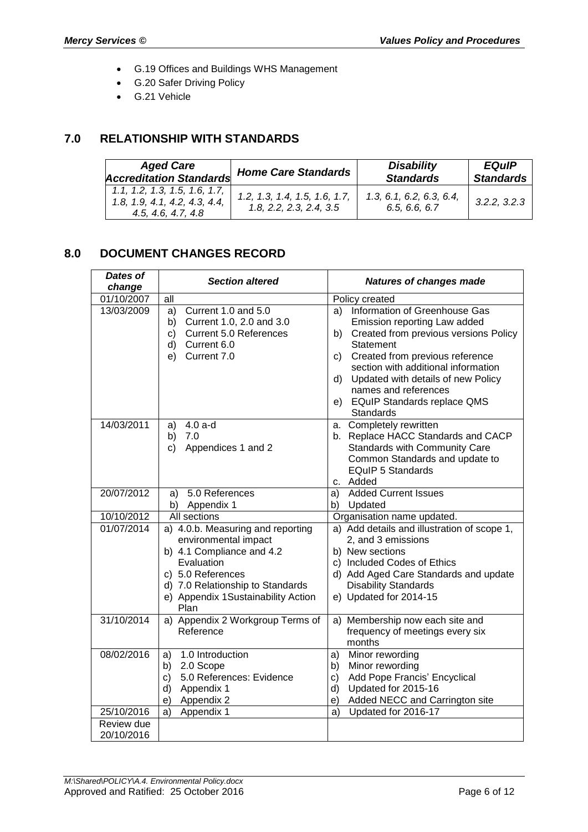- G.19 Offices and Buildings WHS Management
- G.20 Safer Driving Policy
- G.21 Vehicle

# **7.0 RELATIONSHIP WITH STANDARDS**

| <b>Aged Care</b>                                                                     | <b>Home Care Standards</b>                               | <b>Disability</b>                         | <b>EQuIP</b>     |
|--------------------------------------------------------------------------------------|----------------------------------------------------------|-------------------------------------------|------------------|
| <b>Accreditation Standards</b>                                                       |                                                          | <b>Standards</b>                          | <b>Standards</b> |
| 1.1, 1.2, 1.3, 1.5, 1.6, 1.7,<br>1.8, 1.9, 4.1, 4.2, 4.3, 4.4,<br>4.5, 4.6, 4.7, 4.8 | 1.2, 1.3, 1.4, 1.5, 1.6, 1.7,<br>1.8, 2.2, 2.3, 2.4, 3.5 | 1.3, 6.1, 6.2, 6.3, 6.4,<br>6.5, 6.6, 6.7 | 3.2.2, 3.2.3     |

## **8.0 DOCUMENT CHANGES RECORD**

| <b>Dates of</b><br>change | <b>Section altered</b>                                                                                                                                                                                      |                            | <b>Natures of changes made</b>                                                                                                                                                                                                                                                                             |  |  |
|---------------------------|-------------------------------------------------------------------------------------------------------------------------------------------------------------------------------------------------------------|----------------------------|------------------------------------------------------------------------------------------------------------------------------------------------------------------------------------------------------------------------------------------------------------------------------------------------------------|--|--|
| 01/10/2007                | all                                                                                                                                                                                                         |                            | Policy created                                                                                                                                                                                                                                                                                             |  |  |
| 13/03/2009                | Current 1.0 and 5.0<br>a)<br>Current 1.0, 2.0 and 3.0<br>b)<br><b>Current 5.0 References</b><br>C)<br>Current 6.0<br>d)<br>Current 7.0<br>e)                                                                | a)<br>b)<br>C)<br>d)       | Information of Greenhouse Gas<br>Emission reporting Law added<br>Created from previous versions Policy<br>Statement<br>Created from previous reference<br>section with additional information<br>Updated with details of new Policy<br>names and references<br>e) EQuIP Standards replace QMS<br>Standards |  |  |
| 14/03/2011                | $4.0a-d$<br>a)<br>7.0<br>b)<br>Appendices 1 and 2<br>C)                                                                                                                                                     |                            | a. Completely rewritten<br>b. Replace HACC Standards and CACP<br><b>Standards with Community Care</b><br>Common Standards and update to<br><b>EQuIP 5 Standards</b><br>c. Added                                                                                                                            |  |  |
| 20/07/2012                | 5.0 References<br>a)<br>b) Appendix 1                                                                                                                                                                       | a)                         | <b>Added Current Issues</b><br>b) Updated                                                                                                                                                                                                                                                                  |  |  |
| 10/10/2012                | All sections                                                                                                                                                                                                |                            | Organisation name updated.                                                                                                                                                                                                                                                                                 |  |  |
| 01/07/2014                | a) 4.0.b. Measuring and reporting<br>environmental impact<br>b) 4.1 Compliance and 4.2<br>Evaluation<br>c) 5.0 References<br>d) 7.0 Relationship to Standards<br>e) Appendix 1Sustainability Action<br>Plan |                            | a) Add details and illustration of scope 1,<br>2, and 3 emissions<br>b) New sections<br>c) Included Codes of Ethics<br>d) Add Aged Care Standards and update<br><b>Disability Standards</b><br>e) Updated for 2014-15                                                                                      |  |  |
| 31/10/2014                | a) Appendix 2 Workgroup Terms of<br>Reference                                                                                                                                                               |                            | a) Membership now each site and<br>frequency of meetings every six<br>months                                                                                                                                                                                                                               |  |  |
| 08/02/2016                | 1.0 Introduction<br>a)<br>2.0 Scope<br>b)<br>5.0 References: Evidence<br>c)<br>Appendix 1<br>d)<br>Appendix 2<br>e)                                                                                         | a)<br>b)<br>c)<br>d)<br>e) | Minor rewording<br>Minor rewording<br>Add Pope Francis' Encyclical<br>Updated for 2015-16<br>Added NECC and Carrington site                                                                                                                                                                                |  |  |
| 25/10/2016                | Appendix 1<br>a)                                                                                                                                                                                            | a)                         | Updated for 2016-17                                                                                                                                                                                                                                                                                        |  |  |
| Review due<br>20/10/2016  |                                                                                                                                                                                                             |                            |                                                                                                                                                                                                                                                                                                            |  |  |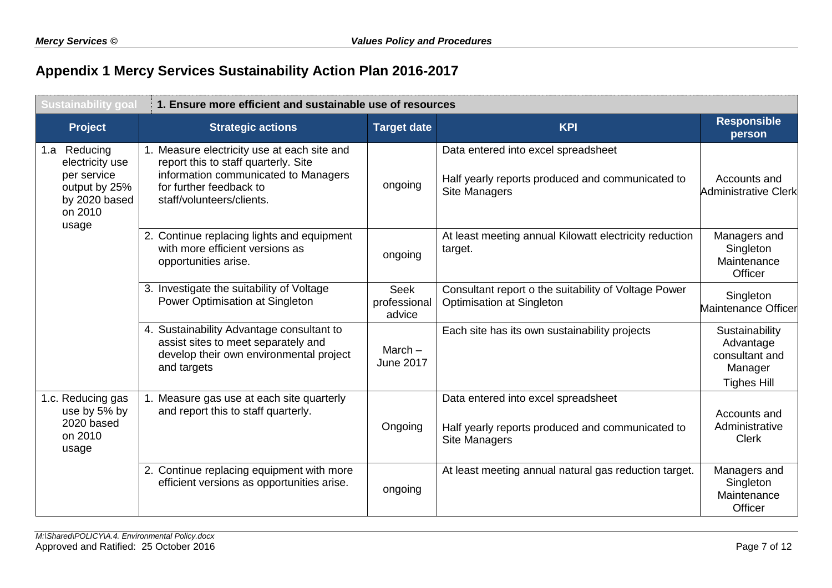# **Appendix 1 Mercy Services Sustainability Action Plan 2016-2017**

| <b>Sustainability goal</b>                                                                           | 1. Ensure more efficient and sustainable use of resources                                                                                                                           |                                |                                                                                                                 |                                                                                |  |
|------------------------------------------------------------------------------------------------------|-------------------------------------------------------------------------------------------------------------------------------------------------------------------------------------|--------------------------------|-----------------------------------------------------------------------------------------------------------------|--------------------------------------------------------------------------------|--|
| Project                                                                                              | <b>Strategic actions</b>                                                                                                                                                            | <b>Target date</b>             | <b>KPI</b>                                                                                                      | <b>Responsible</b><br>person                                                   |  |
| 1.a Reducing<br>electricity use<br>per service<br>output by 25%<br>by 2020 based<br>on 2010<br>usage | 1. Measure electricity use at each site and<br>report this to staff quarterly. Site<br>information communicated to Managers<br>for further feedback to<br>staff/volunteers/clients. | ongoing                        | Data entered into excel spreadsheet<br>Half yearly reports produced and communicated to<br><b>Site Managers</b> | Accounts and<br>Administrative Clerk                                           |  |
|                                                                                                      | 2. Continue replacing lights and equipment<br>with more efficient versions as<br>opportunities arise.                                                                               | ongoing                        | At least meeting annual Kilowatt electricity reduction<br>target.                                               | Managers and<br>Singleton<br>Maintenance<br>Officer                            |  |
|                                                                                                      | 3. Investigate the suitability of Voltage<br>Power Optimisation at Singleton                                                                                                        | Seek<br>professional<br>advice | Consultant report o the suitability of Voltage Power<br>Optimisation at Singleton                               | Singleton<br>Maintenance Officer                                               |  |
|                                                                                                      | 4. Sustainability Advantage consultant to<br>assist sites to meet separately and<br>develop their own environmental project<br>and targets                                          | March $-$<br><b>June 2017</b>  | Each site has its own sustainability projects                                                                   | Sustainability<br>Advantage<br>consultant and<br>Manager<br><b>Tighes Hill</b> |  |
| 1.c. Reducing gas<br>use by 5% by<br>2020 based<br>on 2010<br>usage                                  | 1. Measure gas use at each site quarterly<br>and report this to staff quarterly.                                                                                                    | Ongoing                        | Data entered into excel spreadsheet<br>Half yearly reports produced and communicated to<br>Site Managers        | Accounts and<br>Administrative<br><b>Clerk</b>                                 |  |
|                                                                                                      | 2. Continue replacing equipment with more<br>efficient versions as opportunities arise.                                                                                             | ongoing                        | At least meeting annual natural gas reduction target.                                                           | Managers and<br>Singleton<br>Maintenance<br>Officer                            |  |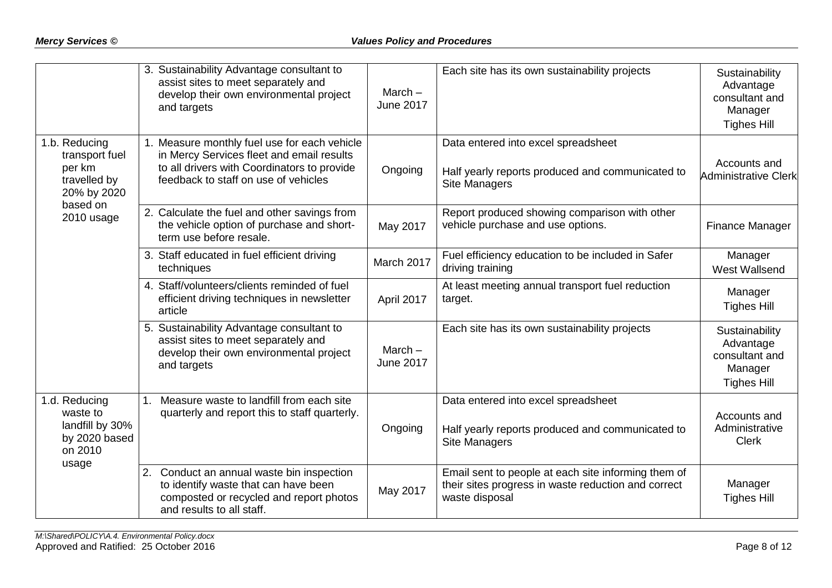|                                                                          | 3. Sustainability Advantage consultant to<br>assist sites to meet separately and<br>develop their own environmental project<br>and targets                                       | March $-$<br><b>June 2017</b> | Each site has its own sustainability projects                                                                                | Sustainability<br>Advantage<br>consultant and<br>Manager<br><b>Tighes Hill</b> |
|--------------------------------------------------------------------------|----------------------------------------------------------------------------------------------------------------------------------------------------------------------------------|-------------------------------|------------------------------------------------------------------------------------------------------------------------------|--------------------------------------------------------------------------------|
| 1.b. Reducing<br>transport fuel<br>per km<br>travelled by<br>20% by 2020 | 1. Measure monthly fuel use for each vehicle<br>in Mercy Services fleet and email results<br>to all drivers with Coordinators to provide<br>feedback to staff on use of vehicles | Ongoing                       | Data entered into excel spreadsheet<br>Half yearly reports produced and communicated to<br>Site Managers                     | Accounts and<br><b>Administrative Clerk</b>                                    |
| based on<br>2010 usage                                                   | 2. Calculate the fuel and other savings from<br>the vehicle option of purchase and short-<br>term use before resale.                                                             | May 2017                      | Report produced showing comparison with other<br>vehicle purchase and use options.                                           | Finance Manager                                                                |
|                                                                          | 3. Staff educated in fuel efficient driving<br>techniques                                                                                                                        | March 2017                    | Fuel efficiency education to be included in Safer<br>driving training                                                        | Manager<br>West Wallsend                                                       |
|                                                                          | 4. Staff/volunteers/clients reminded of fuel<br>efficient driving techniques in newsletter<br>article                                                                            | April 2017                    | At least meeting annual transport fuel reduction<br>target.                                                                  | Manager<br><b>Tighes Hill</b>                                                  |
|                                                                          | 5. Sustainability Advantage consultant to<br>assist sites to meet separately and<br>develop their own environmental project<br>and targets                                       | March $-$<br><b>June 2017</b> | Each site has its own sustainability projects                                                                                | Sustainability<br>Advantage<br>consultant and<br>Manager<br><b>Tighes Hill</b> |
| 1.d. Reducing<br>waste to<br>landfill by 30%<br>by 2020 based<br>on 2010 | Measure waste to landfill from each site<br>quarterly and report this to staff quarterly.                                                                                        | Ongoing                       | Data entered into excel spreadsheet<br>Half yearly reports produced and communicated to<br><b>Site Managers</b>              | Accounts and<br>Administrative<br><b>Clerk</b>                                 |
| usage                                                                    | Conduct an annual waste bin inspection<br>2.<br>to identify waste that can have been<br>composted or recycled and report photos<br>and results to all staff.                     | May 2017                      | Email sent to people at each site informing them of<br>their sites progress in waste reduction and correct<br>waste disposal | Manager<br><b>Tighes Hill</b>                                                  |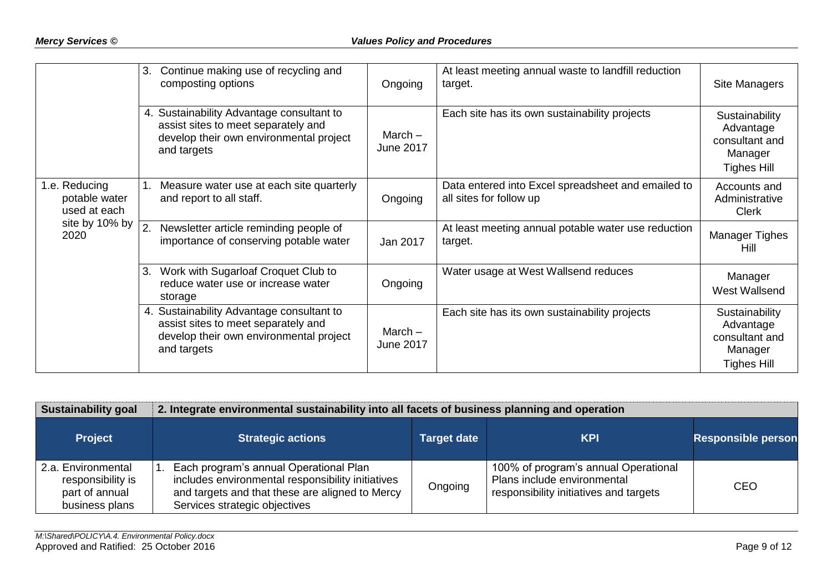|                                                                          | Continue making use of recycling and<br>3.<br>composting options                                                                           | Ongoing                       | At least meeting annual waste to landfill reduction<br>target.                | Site Managers                                                                  |
|--------------------------------------------------------------------------|--------------------------------------------------------------------------------------------------------------------------------------------|-------------------------------|-------------------------------------------------------------------------------|--------------------------------------------------------------------------------|
|                                                                          | 4. Sustainability Advantage consultant to<br>assist sites to meet separately and<br>develop their own environmental project<br>and targets | March $-$<br><b>June 2017</b> | Each site has its own sustainability projects                                 | Sustainability<br>Advantage<br>consultant and<br>Manager<br><b>Tighes Hill</b> |
| 1.e. Reducing<br>potable water<br>used at each<br>site by 10% by<br>2020 | Measure water use at each site quarterly<br>and report to all staff.                                                                       | Ongoing                       | Data entered into Excel spreadsheet and emailed to<br>all sites for follow up | Accounts and<br>Administrative<br><b>Clerk</b>                                 |
|                                                                          | Newsletter article reminding people of<br>importance of conserving potable water                                                           | Jan 2017                      | At least meeting annual potable water use reduction<br>target.                | <b>Manager Tighes</b><br>Hill                                                  |
|                                                                          | Work with Sugarloaf Croquet Club to<br>3.<br>reduce water use or increase water<br>storage                                                 | Ongoing                       | Water usage at West Wallsend reduces                                          | Manager<br>West Wallsend                                                       |
|                                                                          | 4. Sustainability Advantage consultant to<br>assist sites to meet separately and<br>develop their own environmental project<br>and targets | March $-$<br><b>June 2017</b> | Each site has its own sustainability projects                                 | Sustainability<br>Advantage<br>consultant and<br>Manager<br><b>Tighes Hill</b> |

| <b>Sustainability goal</b>                                                  | 2. Integrate environmental sustainability into all facets of business planning and operation                                                                                    |                    |                                                                                                               |                           |  |
|-----------------------------------------------------------------------------|---------------------------------------------------------------------------------------------------------------------------------------------------------------------------------|--------------------|---------------------------------------------------------------------------------------------------------------|---------------------------|--|
| <b>Project</b>                                                              | <b>Strategic actions</b>                                                                                                                                                        | <b>Target date</b> | <b>KPI</b>                                                                                                    | <b>Responsible person</b> |  |
| 2.a. Environmental<br>responsibility is<br>part of annual<br>business plans | Each program's annual Operational Plan<br>includes environmental responsibility initiatives<br>and targets and that these are aligned to Mercy<br>Services strategic objectives | Ongoing            | 100% of program's annual Operational<br>Plans include environmental<br>responsibility initiatives and targets | CEO                       |  |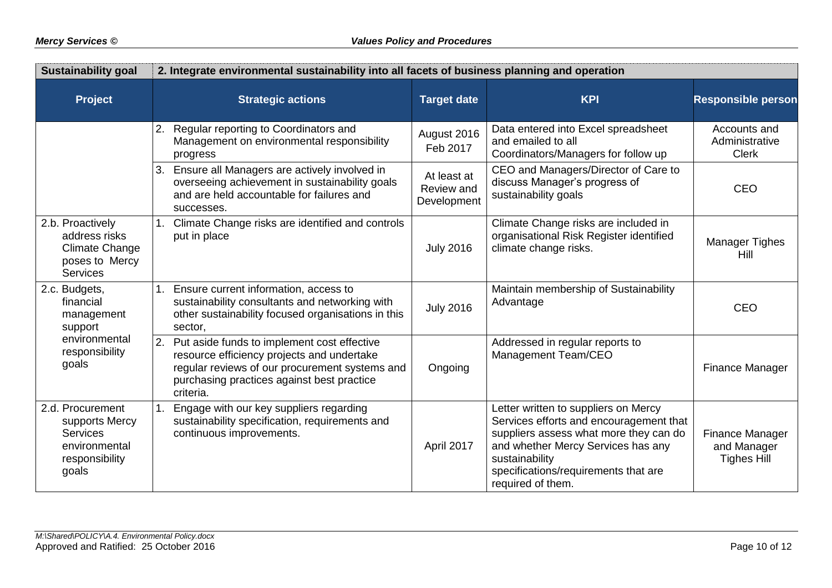| <b>Sustainability goal</b>                                                                        | 2. Integrate environmental sustainability into all facets of business planning and operation                                                                                                              |                                          |                                                                                                                                                                                                                                                |                                                             |  |  |
|---------------------------------------------------------------------------------------------------|-----------------------------------------------------------------------------------------------------------------------------------------------------------------------------------------------------------|------------------------------------------|------------------------------------------------------------------------------------------------------------------------------------------------------------------------------------------------------------------------------------------------|-------------------------------------------------------------|--|--|
| <b>Project</b>                                                                                    | <b>Strategic actions</b>                                                                                                                                                                                  | <b>Target date</b>                       | <b>KPI</b>                                                                                                                                                                                                                                     | <b>Responsible person</b>                                   |  |  |
|                                                                                                   | 2.<br>Regular reporting to Coordinators and<br>Management on environmental responsibility<br>progress                                                                                                     | August 2016<br>Feb 2017                  | Data entered into Excel spreadsheet<br>and emailed to all<br>Coordinators/Managers for follow up                                                                                                                                               | Accounts and<br>Administrative<br><b>Clerk</b>              |  |  |
|                                                                                                   | 3. Ensure all Managers are actively involved in<br>overseeing achievement in sustainability goals<br>and are held accountable for failures and<br>successes.                                              | At least at<br>Review and<br>Development | CEO and Managers/Director of Care to<br>discuss Manager's progress of<br>sustainability goals                                                                                                                                                  | <b>CEO</b>                                                  |  |  |
| 2.b. Proactively<br>address risks<br><b>Climate Change</b><br>poses to Mercy<br><b>Services</b>   | Climate Change risks are identified and controls<br>put in place                                                                                                                                          | <b>July 2016</b>                         | Climate Change risks are included in<br>organisational Risk Register identified<br>climate change risks.                                                                                                                                       | <b>Manager Tighes</b><br>Hill                               |  |  |
| 2.c. Budgets,<br>financial<br>management<br>support                                               | 1. Ensure current information, access to<br>sustainability consultants and networking with<br>other sustainability focused organisations in this<br>sector,                                               | <b>July 2016</b>                         | Maintain membership of Sustainability<br>Advantage                                                                                                                                                                                             | <b>CEO</b>                                                  |  |  |
| environmental<br>responsibility<br>goals                                                          | 2. Put aside funds to implement cost effective<br>resource efficiency projects and undertake<br>regular reviews of our procurement systems and<br>purchasing practices against best practice<br>criteria. | Ongoing                                  | Addressed in regular reports to<br>Management Team/CEO                                                                                                                                                                                         | Finance Manager                                             |  |  |
| 2.d. Procurement<br>supports Mercy<br><b>Services</b><br>environmental<br>responsibility<br>goals | Engage with our key suppliers regarding<br>1.<br>sustainability specification, requirements and<br>continuous improvements.                                                                               | April 2017                               | Letter written to suppliers on Mercy<br>Services efforts and encouragement that<br>suppliers assess what more they can do<br>and whether Mercy Services has any<br>sustainability<br>specifications/requirements that are<br>required of them. | <b>Finance Manager</b><br>and Manager<br><b>Tighes Hill</b> |  |  |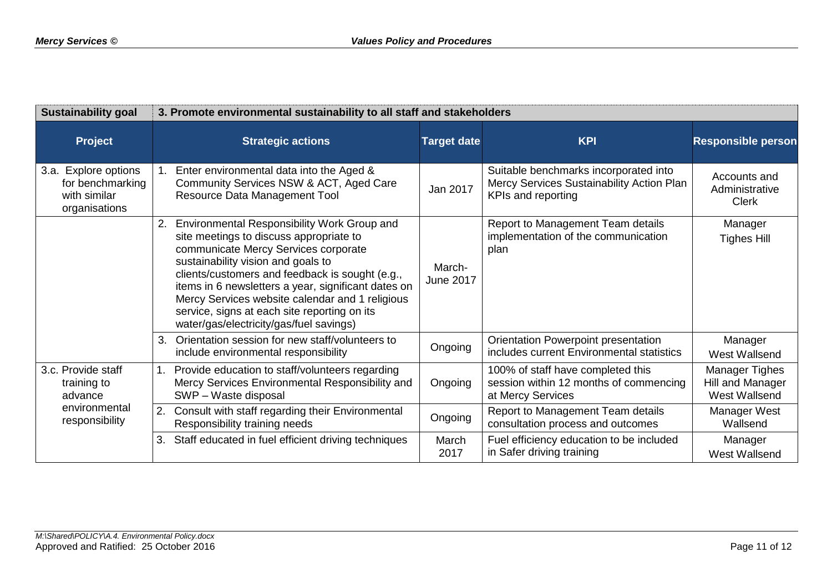| <b>Sustainability goal</b>                                                          | 3. Promote environmental sustainability to all staff and stakeholders                                                                                                                                                                                                                                                                                                                                                              |                            |                                                                                                          |                                                     |  |
|-------------------------------------------------------------------------------------|------------------------------------------------------------------------------------------------------------------------------------------------------------------------------------------------------------------------------------------------------------------------------------------------------------------------------------------------------------------------------------------------------------------------------------|----------------------------|----------------------------------------------------------------------------------------------------------|-----------------------------------------------------|--|
| <b>Project</b>                                                                      | <b>Strategic actions</b>                                                                                                                                                                                                                                                                                                                                                                                                           | <b>Target date</b>         | <b>KPI</b>                                                                                               | <b>Responsible person</b>                           |  |
| <b>Explore options</b><br>3.a.<br>for benchmarking<br>with similar<br>organisations | Enter environmental data into the Aged &<br>Community Services NSW & ACT, Aged Care<br>Resource Data Management Tool                                                                                                                                                                                                                                                                                                               | Jan 2017                   | Suitable benchmarks incorporated into<br>Mercy Services Sustainability Action Plan<br>KPIs and reporting | Accounts and<br>Administrative<br><b>Clerk</b>      |  |
|                                                                                     | Environmental Responsibility Work Group and<br>2.<br>site meetings to discuss appropriate to<br>communicate Mercy Services corporate<br>sustainability vision and goals to<br>clients/customers and feedback is sought (e.g.,<br>items in 6 newsletters a year, significant dates on<br>Mercy Services website calendar and 1 religious<br>service, signs at each site reporting on its<br>water/gas/electricity/gas/fuel savings) | March-<br><b>June 2017</b> | Report to Management Team details<br>implementation of the communication<br>plan                         | Manager<br><b>Tighes Hill</b>                       |  |
|                                                                                     | Orientation session for new staff/volunteers to<br>3.<br>include environmental responsibility                                                                                                                                                                                                                                                                                                                                      | Ongoing                    | Orientation Powerpoint presentation<br>includes current Environmental statistics                         | Manager<br>West Wallsend                            |  |
| 3.c. Provide staff<br>training to<br>advance                                        | 1 <sub>1</sub><br>Provide education to staff/volunteers regarding<br>Mercy Services Environmental Responsibility and<br>SWP - Waste disposal                                                                                                                                                                                                                                                                                       | Ongoing                    | 100% of staff have completed this<br>session within 12 months of commencing<br>at Mercy Services         | Manager Tighes<br>Hill and Manager<br>West Wallsend |  |
| environmental<br>responsibility                                                     | 2.<br>Consult with staff regarding their Environmental<br>Responsibility training needs                                                                                                                                                                                                                                                                                                                                            | Ongoing                    | Report to Management Team details<br>consultation process and outcomes                                   | Manager West<br>Wallsend                            |  |
|                                                                                     | Staff educated in fuel efficient driving techniques<br>3.                                                                                                                                                                                                                                                                                                                                                                          | March<br>2017              | Fuel efficiency education to be included<br>in Safer driving training                                    | Manager<br>West Wallsend                            |  |